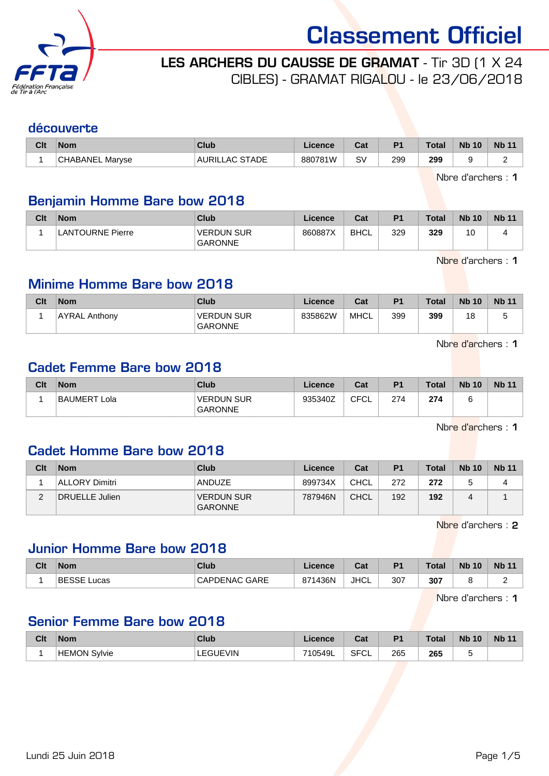

LES ARCHERS DU CAUSSE DE GRAMAT - Tir 3D (1 X 24

CIBLES) - GRAMAT RIGALOU - le 23/06/2018

#### découverte

| Clt | Nom             | Club              | .icence | ่∩ื่∽∗<br>⊍d | D <sub>1</sub> | <b>Total</b> | <b>Nb 10</b> | <b>Nb</b> |
|-----|-----------------|-------------------|---------|--------------|----------------|--------------|--------------|-----------|
|     | CHABANEL Marvse | STADE<br>AURILLAC | 880781W | S۱           | 299<br>$ -$    | 299<br>__    |              |           |

Nbre d'archers : 1

#### Benjamin Homme Bare bow 2018

| Clt | <b>Nom</b>              | Club                                | Licence | Cat         | P <sub>1</sub> | <b>Total</b> | <b>Nb 10</b>         | <b>Nb 11</b> |
|-----|-------------------------|-------------------------------------|---------|-------------|----------------|--------------|----------------------|--------------|
|     | <b>LANTOURNE Pierre</b> | <b>VERDUN SUR</b><br><b>GARONNE</b> | 860887X | <b>BHCL</b> | 329            | 329          | 1 <sup>c</sup><br>שו |              |

Nbre d'archers : 1

#### Minime Homme Bare bow 2018

| Clt | <b>Nom</b>           | Club                                | Licence | Cat  | P <sub>1</sub> | <b>Total</b> | <b>Nb 10</b> | <b>Nb 11</b> |
|-----|----------------------|-------------------------------------|---------|------|----------------|--------------|--------------|--------------|
|     | <b>AYRAL Anthony</b> | <b>VERDUN SUR</b><br><b>GARONNE</b> | 835862W | MHCL | 399            | 399          | 18           | ີ            |

Nbre d'archers : 1

#### Cadet Femme Bare bow 2018

| Clt | <b>Nom</b>   | Club                         | ∟icence | Cat        | P <sub>1</sub> | <b>Total</b> | <b>Nb 10</b> | <b>Nb 11</b> |
|-----|--------------|------------------------------|---------|------------|----------------|--------------|--------------|--------------|
|     | BAUMERT Lola | VERDUN SUR<br><b>GARONNE</b> | 935340Z | CFCI<br>◡∟ | 274            | 274          |              |              |

Nbre d'archers : 1

#### Cadet Homme Bare bow 2018

| Clt | <b>Nom</b>     | Club                                | Licence | Cat         | P <sub>1</sub> | <b>Total</b> | <b>Nb 10</b> | <b>Nb 11</b> |
|-----|----------------|-------------------------------------|---------|-------------|----------------|--------------|--------------|--------------|
|     | ALLORY Dimitri | <b>ANDUZE</b>                       | 899734X | CHCL        | 272            | 272          |              |              |
| ∼   | DRUELLE Julien | <b>VERDUN SUR</b><br><b>GARONNE</b> | 787946N | <b>CHCL</b> | 192            | 192          |              |              |

Nbre d'archers : 2

#### Junior Homme Bare bow 2018

| Clt | <b>Nom</b>            | Club                 | icence             | ่∩ำง<br>ua. | D <sub>4</sub> | <b>Total</b> | <b>N<sub>b</sub></b><br>10 | <b>Nb</b> |
|-----|-----------------------|----------------------|--------------------|-------------|----------------|--------------|----------------------------|-----------|
|     | <b>BESSE</b><br>Lucas | <b>CAPDENAC GARE</b> | 1436N<br>071<br>01 | <b>JHCL</b> | 307            | 307          |                            |           |

Nbre d'archers : 1

#### Senior Femme Bare bow 2018

| Clt | <b>Nom</b>          | <b>Club</b> | icence  | ◠fi<br>va.  | P <sub>1</sub> | <b>Total</b> | <b>Nb 10</b> | Nb <sub>1</sub> |
|-----|---------------------|-------------|---------|-------------|----------------|--------------|--------------|-----------------|
|     | <b>HEMON Svlvie</b> | EGUEVIN     | 710549L | <b>SFCL</b> | 265            | 265          |              |                 |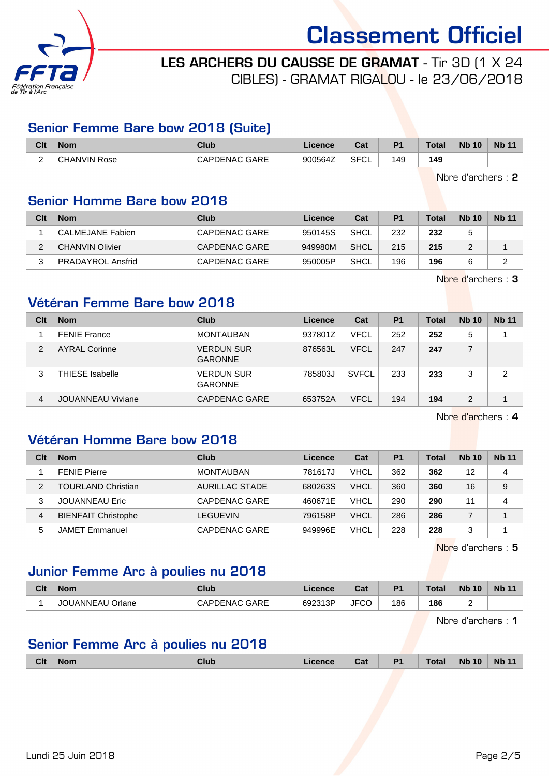

LES ARCHERS DU CAUSSE DE GRAMAT - Tir 3D (1 X 24 CIBLES) - GRAMAT RIGALOU - le 23/06/2018

#### Senior Femme Bare bow 2018 (Suite)

| Clt | <b>Nom</b>          | Club                 | Licence | r.,<br>⊍a   | D <sup>4</sup> | <b>Total</b> | <b>Nb</b><br>10 | <b>Nb 11</b> |
|-----|---------------------|----------------------|---------|-------------|----------------|--------------|-----------------|--------------|
| -   | <b>CHANVIN Rose</b> | <b>CAPDENAC GARE</b> | 900564Z | <b>SFCL</b> | 149            | 149          |                 |              |

Nbre d'archers : 2

#### Senior Homme Bare bow 2018

| Clt | <b>Nom</b>               | Club          | Licence | Cat  | P <sub>1</sub> | <b>Total</b> | <b>Nb 10</b> | <b>Nb 11</b> |
|-----|--------------------------|---------------|---------|------|----------------|--------------|--------------|--------------|
|     | CALMEJANE Fabien         | CAPDENAC GARE | 950145S | SHCL | 232            | 232          |              |              |
|     | CHANVIN Olivier          | CAPDENAC GARE | 949980M | SHCL | 215            | 215          |              |              |
|     | <b>PRADAYROL Ansfrid</b> | CAPDENAC GARE | 950005P | SHCL | 196            | 196          |              |              |

Nbre d'archers : 3

#### Vétéran Femme Bare bow 2018

| Clt | <b>Nom</b>               | Club                                | Licence | Cat          | P <sub>1</sub> | <b>Total</b> | <b>Nb 10</b> | <b>Nb 11</b> |
|-----|--------------------------|-------------------------------------|---------|--------------|----------------|--------------|--------------|--------------|
|     | <b>FENIE France</b>      | <b>MONTAUBAN</b>                    | 937801Z | <b>VFCL</b>  | 252            | 252          | 5            |              |
| 2   | <b>AYRAL Corinne</b>     | <b>VERDUN SUR</b><br><b>GARONNE</b> | 876563L | <b>VFCL</b>  | 247            | 247          |              |              |
| 3   | <b>THIESE</b> Isabelle   | <b>VERDUN SUR</b><br><b>GARONNE</b> | 785803J | <b>SVFCL</b> | 233            | 233          | 3            | 2            |
| 4   | <b>JOUANNEAU Viviane</b> | CAPDENAC GARE                       | 653752A | <b>VFCL</b>  | 194            | 194          | 2            |              |

Nbre d'archers : 4

#### Vétéran Homme Bare bow 2018

| Clt            | <b>Nom</b>                 | Club                  | Licence | Cat         | P <sub>1</sub> | <b>Total</b> | <b>Nb 10</b> | <b>Nb 11</b> |
|----------------|----------------------------|-----------------------|---------|-------------|----------------|--------------|--------------|--------------|
|                | <b>FENIE Pierre</b>        | <b>MONTAUBAN</b>      | 781617J | <b>VHCL</b> | 362            | 362          | 12           | 4            |
| 2              | <b>TOURLAND Christian</b>  | <b>AURILLAC STADE</b> | 680263S | <b>VHCL</b> | 360            | 360          | 16           | 9            |
| 3              | <b>JOUANNEAU Eric</b>      | CAPDENAC GARE         | 460671E | <b>VHCL</b> | 290            | 290          | 11           | 4            |
| $\overline{4}$ | <b>BIENFAIT Christophe</b> | <b>LEGUEVIN</b>       | 796158P | <b>VHCL</b> | 286            | 286          |              |              |
| 5              | <b>JAMET Emmanuel</b>      | CAPDENAC GARE         | 949996E | <b>VHCL</b> | 228            | 228          | 3            |              |

Nbre d'archers : 5

#### Junior Femme Arc à poulies nu 2018

| Clt | Nom              | Club                    | Licence | ו ה<br>⊍d   | D <sub>1</sub> | <b>Total</b> | <b>N<sub>b</sub></b><br>10 | <b>Nb 11</b> |
|-----|------------------|-------------------------|---------|-------------|----------------|--------------|----------------------------|--------------|
|     | JOUANNEAU Orlane | GARE<br><b>CAPDENAC</b> | 692313P | <b>JFCC</b> | 186            | 186          |                            |              |

Nbre d'archers : 1

#### Senior Femme Arc à poulies nu 2018

| <b>Clt</b> | <b>Nom</b><br>. | <b>Club</b> | icence | Cat | D <sub>4</sub> | Total | 10<br><b>N<sub>b</sub></b> | <b>N<sub>b</sub></b> |
|------------|-----------------|-------------|--------|-----|----------------|-------|----------------------------|----------------------|
|            |                 |             |        |     |                |       |                            |                      |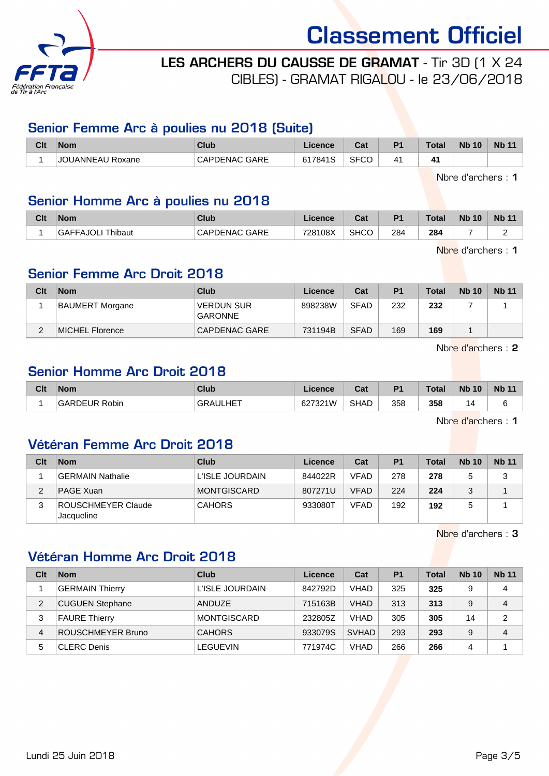

### LES ARCHERS DU CAUSSE DE GRAMAT - Tir 3D (1 X 24

CIBLES) - GRAMAT RIGALOU - le 23/06/2018

#### Senior Femme Arc à poulies nu 2018 (Suite)

| Clt | <b>Nom</b>        | $C$ lub                 | icence                               | ◠fi<br>ua.  | P <sub>1</sub> | <b>Total</b> | <b>N<sub>b</sub></b><br>10 | <b>Nb 11</b> |
|-----|-------------------|-------------------------|--------------------------------------|-------------|----------------|--------------|----------------------------|--------------|
|     | Roxane<br>UANNEAU | GARE<br>∩∧DI<br>OFNAC . | $\overline{A}$<br><b>S1784</b><br>ıc | <b>SFCO</b> | 11             |              |                            |              |

Nbre d'archers : 1

### Senior Homme Arc à poulies nu 2018

| Clt | <b>Nom</b>        | <b>Club</b>          | Licence | ◠っィ<br>va.  | P <sup>1</sup> | <b>Total</b> | <b>Nb 10</b> | <b>Nb 11</b> |
|-----|-------------------|----------------------|---------|-------------|----------------|--------------|--------------|--------------|
|     | GAFFAJOLI Thibaut | <b>CAPDENAC GARE</b> | 728108X | <b>SHCC</b> | 284            | 284          |              |              |

Nbre d'archers : 1

#### Senior Femme Arc Droit 2018

| Clt | <b>Nom</b>      | Club                                | Licence | Cat         | P <sub>1</sub> | <b>Total</b> | <b>Nb 10</b> | <b>Nb 11</b> |
|-----|-----------------|-------------------------------------|---------|-------------|----------------|--------------|--------------|--------------|
|     | BAUMERT Morgane | <b>VERDUN SUR</b><br><b>GARONNE</b> | 898238W | <b>SFAD</b> | 232            | 232          |              |              |
|     | MICHEL Florence | CAPDENAC GARE                       | 731194B | <b>SFAD</b> | 169            | 169          |              |              |

Nbre d'archers : 2

### Senior Homme Arc Droit 2018

| Clt | <b>Nom</b>              | Club            | Licence | $R_{\rm eff}$<br>⊍d | D <sub>1</sub> | Total | <b>N<sub>b</sub></b><br>10 | <b>Nb</b> |
|-----|-------------------------|-----------------|---------|---------------------|----------------|-------|----------------------------|-----------|
|     | Robin<br><b>GARDEUR</b> | <b>GRAULHET</b> | 627321W | <b>SHAD</b>         | 358            | 358   | 1∆.                        |           |

Nbre d'archers : 1

#### Vétéran Femme Arc Droit 2018

| Clt | <b>Nom</b>                       | Club             | Licence | Cat         | P <sub>1</sub> | <b>Total</b> | <b>Nb 10</b> | <b>Nb 11</b> |
|-----|----------------------------------|------------------|---------|-------------|----------------|--------------|--------------|--------------|
|     | <b>GERMAIN Nathalie</b>          | 'L'ISLE JOURDAIN | 844022R | <b>VFAD</b> | 278            | 278          |              | っ<br>د       |
|     | <b>PAGE Xuan</b>                 | MONTGISCARD      | 807271U | <b>VFAD</b> | 224            | 224          |              |              |
|     | ROUSCHMEYER Claude<br>Jacqueline | <b>CAHORS</b>    | 933080T | <b>VFAD</b> | 192            | 192          |              |              |

Nbre d'archers : 3

#### Vétéran Homme Arc Droit 2018

| Clt            | <b>Nom</b>               | Club               | Licence | Cat          | P <sub>1</sub> | Total | <b>Nb 10</b> | <b>Nb 11</b>   |
|----------------|--------------------------|--------------------|---------|--------------|----------------|-------|--------------|----------------|
|                | <b>GERMAIN Thierry</b>   | L'ISLE JOURDAIN    | 842792D | <b>VHAD</b>  | 325            | 325   | 9            | 4              |
| $\overline{2}$ | <b>CUGUEN Stephane</b>   | ANDUZE             | 715163B | <b>VHAD</b>  | 313            | 313   | 9            | 4              |
| 3              | <b>FAURE Thierry</b>     | <b>MONTGISCARD</b> | 232805Z | <b>VHAD</b>  | 305            | 305   | 14           | $\overline{2}$ |
| 4              | <b>ROUSCHMEYER Bruno</b> | <b>CAHORS</b>      | 933079S | <b>SVHAD</b> | 293            | 293   | 9            | 4              |
| 5              | <b>CLERC</b> Denis       | <b>LEGUEVIN</b>    | 771974C | <b>VHAD</b>  | 266            | 266   | 4            |                |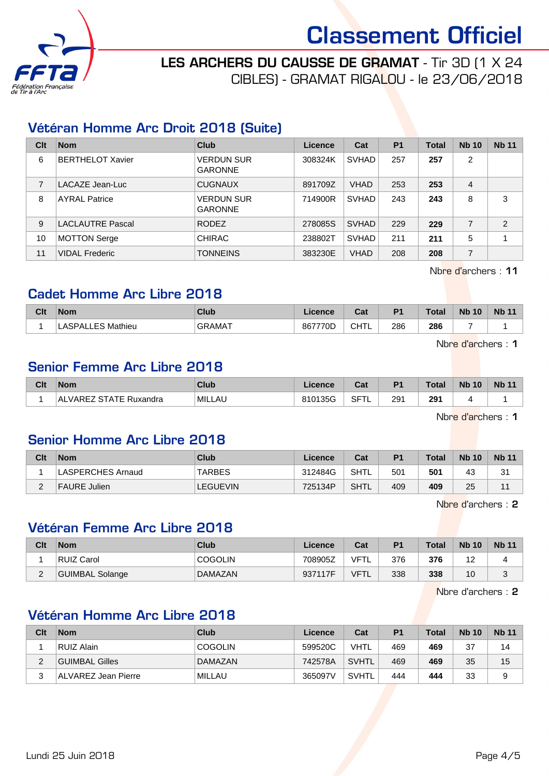

LES ARCHERS DU CAUSSE DE GRAMAT - Tir 3D (1 X 24 CIBLES) - GRAMAT RIGALOU - le 23/06/2018

#### Vétéran Homme Arc Droit 2018 (Suite)

| Clt            | <b>Nom</b>              | Club                                | Licence | Cat          | P <sub>1</sub> | <b>Total</b> | <b>Nb 10</b> | <b>Nb 11</b>   |
|----------------|-------------------------|-------------------------------------|---------|--------------|----------------|--------------|--------------|----------------|
| 6              | <b>BERTHELOT Xavier</b> | <b>VERDUN SUR</b><br><b>GARONNE</b> | 308324K | <b>SVHAD</b> | 257            | 257          | 2            |                |
| $\overline{7}$ | LACAZE Jean-Luc         | <b>CUGNAUX</b>                      | 891709Z | <b>VHAD</b>  | 253            | 253          | 4            |                |
| 8              | <b>AYRAL Patrice</b>    | <b>VERDUN SUR</b><br><b>GARONNE</b> | 714900R | <b>SVHAD</b> | 243            | 243          | 8            | 3              |
| 9              | <b>LACLAUTRE Pascal</b> | <b>RODEZ</b>                        | 278085S | <b>SVHAD</b> | 229            | 229          | 7            | $\overline{2}$ |
| 10             | <b>MOTTON Serge</b>     | <b>CHIRAC</b>                       | 238802T | <b>SVHAD</b> | 211            | 211          | 5            |                |
| 11             | <b>VIDAL Frederic</b>   | <b>TONNEINS</b>                     | 383230E | <b>VHAD</b>  | 208            | 208          | 7            |                |

Nbre d'archers : 11

#### Cadet Homme Arc Libre 2018

| Clt | <b>Nom</b>                    | <b>Club</b> | Licence | ่ ี่ ี่ ่า+<br>⊍d | D <sub>1</sub> | <b>Total</b> | <b>Nb 10</b> | <b>N<sub>b</sub></b> |
|-----|-------------------------------|-------------|---------|-------------------|----------------|--------------|--------------|----------------------|
|     | `QDA.<br>Mathieu<br>┺<br>-- - | GRAMAT      | 867770D | CHTL              | 286            | 286          |              |                      |

Nbre d'archers : 1

#### Senior Femme Arc Libre 2018

| Clt | <b>Nom</b>                            | <b>Club</b> | Licence | <b>Cat</b><br>ual | P <sub>1</sub> | <b>Total</b> | <b>N<sub>b</sub></b><br>10 | <b>Nb 11</b> |
|-----|---------------------------------------|-------------|---------|-------------------|----------------|--------------|----------------------------|--------------|
|     | VAREZ<br>: STATE<br>±AL<br>: Ruxandra | MILLAU      | 810135G | <b>SFTL</b>       | 291            | 291          |                            |              |
|     |                                       |             |         |                   |                |              |                            |              |

Nbre d'archers : 1

#### Senior Homme Arc Libre 2018

| Clt    | <b>Nom</b>               | Club            | Licence | Cat  | P1  | <b>Total</b> | <b>Nb 10</b> | <b>Nb 11</b> |
|--------|--------------------------|-----------------|---------|------|-----|--------------|--------------|--------------|
|        | <b>LASPERCHES Arnaud</b> | TARBES          | 312484G | SHTL | 501 | 501          | 43           | 31           |
| ⌒<br>_ | <b>FAURE Julien</b>      | <b>LEGUEVIN</b> | 725134P | SHTL | 409 | 409          | 25           | 11           |

Nbre d'archers : 2

#### Vétéran Femme Arc Libre 2018

| Clt           | <b>Nom</b>      | Club           | Licence | Cat         | <b>P1</b> | Total | <b>Nb 10</b> | <b>Nb 11</b> |
|---------------|-----------------|----------------|---------|-------------|-----------|-------|--------------|--------------|
|               | RUIZ Carol      | <b>COGOLIN</b> | 708905Z | <b>VFTL</b> | 376       | 376   | <u>_</u>     |              |
| ◠<br><u>.</u> | GUIMBAL Solange | DAMAZAN        | 937117F | <b>VFTL</b> | 338       | 338   | 10           |              |

Nbre d'archers : 2

#### Vétéran Homme Arc Libre 2018

| Clt    | <b>Nom</b>          | <b>Club</b>    | Licence | Cat          | P <sub>1</sub> | <b>Total</b> | <b>Nb 10</b> | <b>Nb</b> 11 |
|--------|---------------------|----------------|---------|--------------|----------------|--------------|--------------|--------------|
|        | RUIZ Alain          | <b>COGOLIN</b> | 599520C | <b>VHTL</b>  | 469            | 469          | 37           | 14           |
| ົ<br>∠ | GUIMBAL Gilles      | DAMAZAN        | 742578A | <b>SVHTL</b> | 469            | 469          | 35           | 15           |
| 3      | ALVAREZ Jean Pierre | MILLAU         | 365097V | <b>SVHTL</b> | 444            | 444          | 33           | 9            |